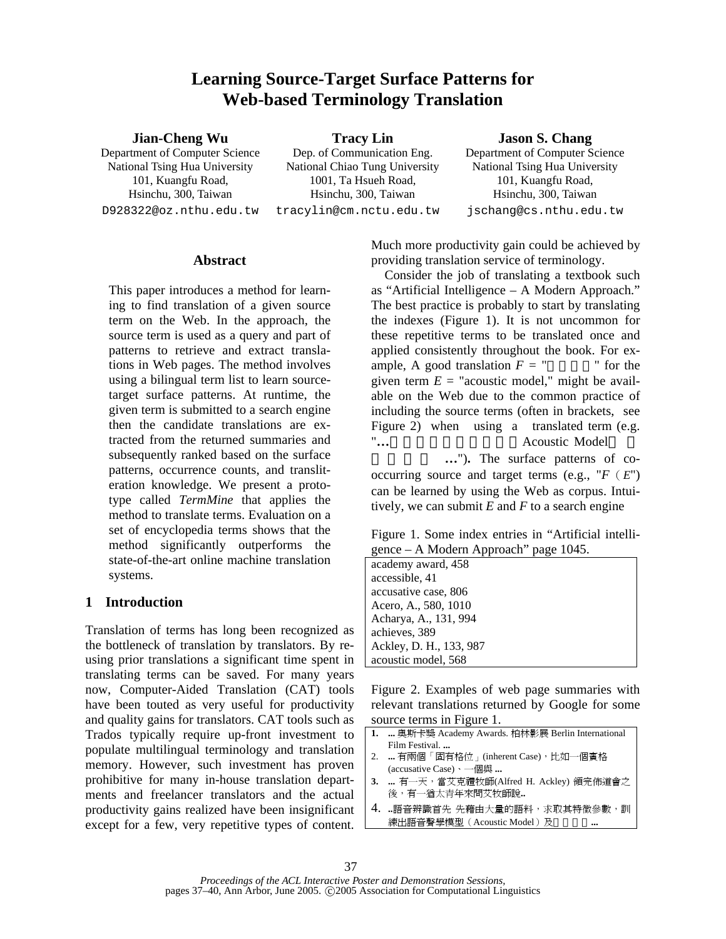# **Learning Source-Target Surface Patterns for Web-based Terminology Translation**

#### **Jian-Cheng Wu**

Department of Computer Science National Tsing Hua University 101, Kuangfu Road, Hsinchu, 300, Taiwan D928322@oz.nthu.edu.tw

**Tracy Lin**  Dep. of Communication Eng. National Chiao Tung University 1001, Ta Hsueh Road, Hsinchu, 300, Taiwan tracylin@cm.nctu.edu.tw **Jason S. Chang** 

Department of Computer Science National Tsing Hua University 101, Kuangfu Road, Hsinchu, 300, Taiwan jschang@cs.nthu.edu.tw

#### **Abstract**

This paper introduces a method for learning to find translation of a given source term on the Web. In the approach, the source term is used as a query and part of patterns to retrieve and extract translations in Web pages. The method involves using a bilingual term list to learn sourcetarget surface patterns. At runtime, the given term is submitted to a search engine then the candidate translations are extracted from the returned summaries and subsequently ranked based on the surface patterns, occurrence counts, and transliteration knowledge. We present a prototype called *TermMine* that applies the method to translate terms. Evaluation on a set of encyclopedia terms shows that the method significantly outperforms the state-of-the-art online machine translation systems.

# **1 Introduction**

Translation of terms has long been recognized as the bottleneck of translation by translators. By reusing prior translations a significant time spent in translating terms can be saved. For many years now, Computer-Aided Translation (CAT) tools have been touted as very useful for productivity and quality gains for translators. CAT tools such as Trados typically require up-front investment to populate multilingual terminology and translation memory. However, such investment has proven prohibitive for many in-house translation departments and freelancer translators and the actual productivity gains realized have been insignificant except for a few, very repetitive types of content.

Much more productivity gain could be achieved by providing translation service of terminology.

Consider the job of translating a textbook such as "Artificial Intelligence – A Modern Approach." The best practice is probably to start by translating the indexes (Figure 1). It is not uncommon for these repetitive terms to be translated once and applied consistently throughout the book. For example, A good translation  $F = "$  " for the given term  $E =$  "acoustic model," might be available on the Web due to the common practice of including the source terms (often in brackets, see Figure 2) when using a translated term (e.g. "... **Acoustic Model** 

..."). The surface patterns of cooccurring source and target terms (e.g.,  $F(E)$ ) can be learned by using the Web as corpus. Intuitively, we can submit *E* and *F* to a search engine

Figure 1. Some index entries in "Artificial intelligence – A Modern Approach" page 1045.

| academy award, 458      |
|-------------------------|
| accessible, 41          |
| accusative case, 806    |
| Acero, A., 580, 1010    |
| Acharya, A., 131, 994   |
| achieves, 389           |
| Ackley, D. H., 133, 987 |
| acoustic model, 568     |

Figure 2. Examples of web page summaries with relevant translations returned by Google for some source terms in Figure 1.

- **1. ...** 奧斯卡獎 Academy Awards. 柏林影展 Berlin International Film Festival. **...**  2. **...** 有兩個「固有格位」(inherent Case),比如一個賓格 (accusative Case)、一個與 **... 3. ...** 有一天,當艾克禮牧師(Alfred H. Ackley) 領完佈道會之 後,有一猶太青年來問艾牧師說**..**
- 4. **..**語音辨識首先 先藉由大量的語料,求取其特徵參數,訓 練出語音聲學模型(Acoustic Model)及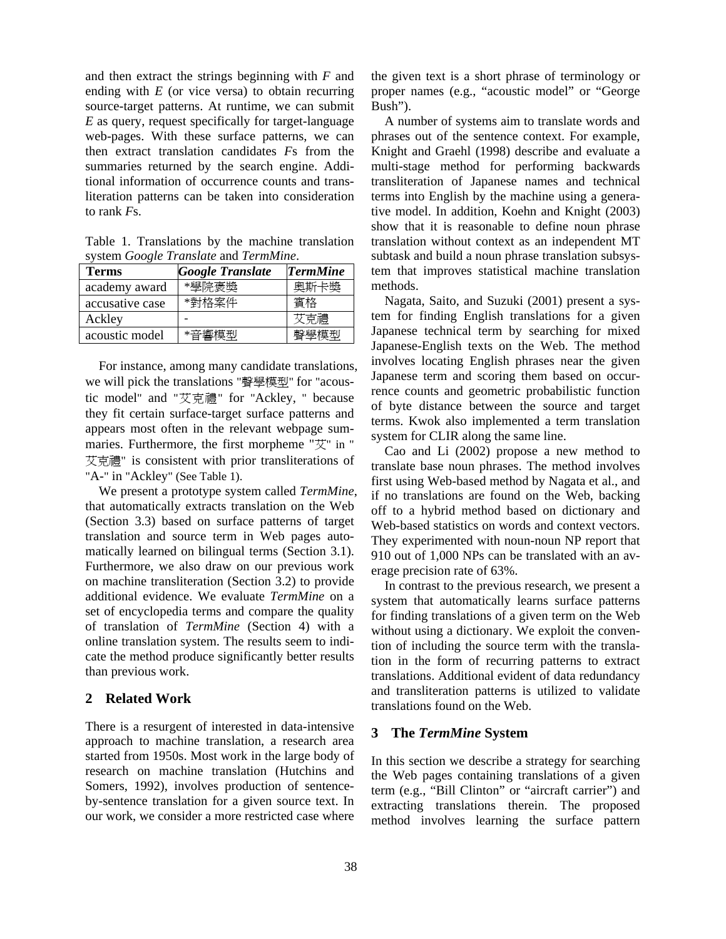and then extract the strings beginning with *F* and ending with *E* (or vice versa) to obtain recurring source-target patterns. At runtime, we can submit *E* as query, request specifically for target-language web-pages. With these surface patterns, we can then extract translation candidates *F*s from the summaries returned by the search engine. Additional information of occurrence counts and transliteration patterns can be taken into consideration to rank *F*s.

Table 1. Translations by the machine translation system *Google Translate* and *TermMine*.

| <b>Terms</b>    | <b>Google Translate</b> | <b>TermMine</b> |
|-----------------|-------------------------|-----------------|
| academy award   | *學院褒獎                   | 奧斯卡獎            |
| accusative case | *對格案件                   | 賓格              |
| Ackley          |                         | と克禮             |
| acoustic model  | *辛蠁横刑                   | 聲學植刑            |

For instance, among many candidate translations, we will pick the translations "聲學模型" for "acoustic model" and "艾克禮" for "Ackley, " because they fit certain surface-target surface patterns and appears most often in the relevant webpage summaries. Furthermore, the first morpheme "艾" in " 艾克禮" is consistent with prior transliterations of "A-" in "Ackley" (See Table 1).

We present a prototype system called *TermMine*, that automatically extracts translation on the Web (Section 3.3) based on surface patterns of target translation and source term in Web pages automatically learned on bilingual terms (Section 3.1). Furthermore, we also draw on our previous work on machine transliteration (Section 3.2) to provide additional evidence. We evaluate *TermMine* on a set of encyclopedia terms and compare the quality of translation of *TermMine* (Section 4) with a online translation system. The results seem to indicate the method produce significantly better results than previous work.

## **2 Related Work**

There is a resurgent of interested in data-intensive approach to machine translation, a research area started from 1950s. Most work in the large body of research on machine translation (Hutchins and Somers, 1992), involves production of sentenceby-sentence translation for a given source text. In our work, we consider a more restricted case where

the given text is a short phrase of terminology or proper names (e.g., "acoustic model" or "George Bush").

A number of systems aim to translate words and phrases out of the sentence context. For example, Knight and Graehl (1998) describe and evaluate a multi-stage method for performing backwards transliteration of Japanese names and technical terms into English by the machine using a generative model. In addition, Koehn and Knight (2003) show that it is reasonable to define noun phrase translation without context as an independent MT subtask and build a noun phrase translation subsystem that improves statistical machine translation methods.

Nagata, Saito, and Suzuki (2001) present a system for finding English translations for a given Japanese technical term by searching for mixed Japanese-English texts on the Web. The method involves locating English phrases near the given Japanese term and scoring them based on occurrence counts and geometric probabilistic function of byte distance between the source and target terms. Kwok also implemented a term translation system for CLIR along the same line.

Cao and Li (2002) propose a new method to translate base noun phrases. The method involves first using Web-based method by Nagata et al., and if no translations are found on the Web, backing off to a hybrid method based on dictionary and Web-based statistics on words and context vectors. They experimented with noun-noun NP report that 910 out of 1,000 NPs can be translated with an average precision rate of 63%.

In contrast to the previous research, we present a system that automatically learns surface patterns for finding translations of a given term on the Web without using a dictionary. We exploit the convention of including the source term with the translation in the form of recurring patterns to extract translations. Additional evident of data redundancy and transliteration patterns is utilized to validate translations found on the Web.

## **3 The** *TermMine* **System**

In this section we describe a strategy for searching the Web pages containing translations of a given term (e.g., "Bill Clinton" or "aircraft carrier") and extracting translations therein. The proposed method involves learning the surface pattern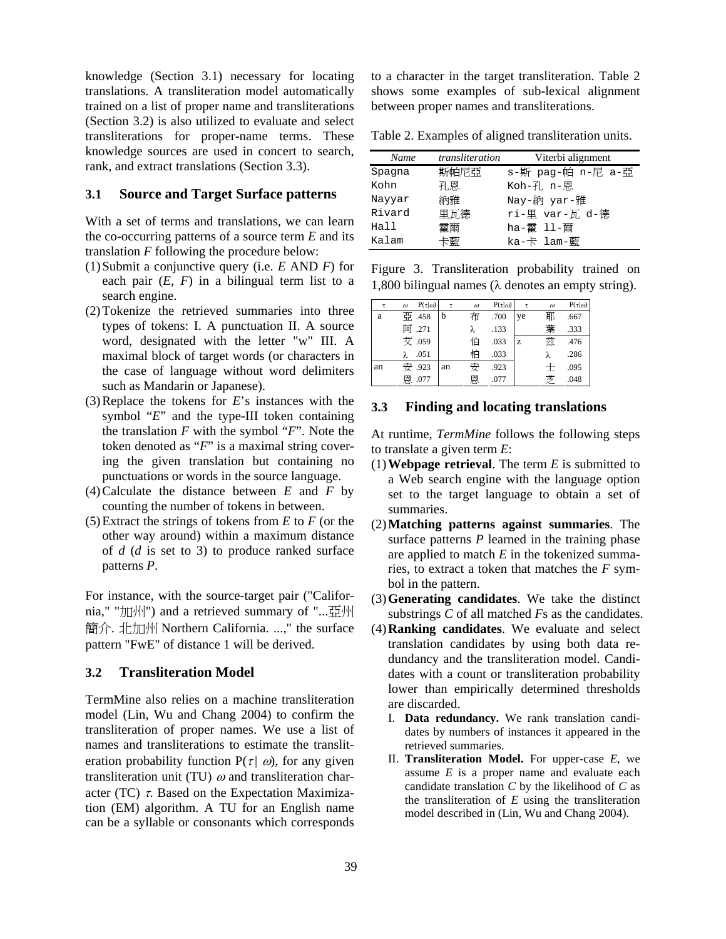knowledge (Section 3.1) necessary for locating translations. A transliteration model automatically trained on a list of proper name and transliterations (Section 3.2) is also utilized to evaluate and select transliterations for proper-name terms. These knowledge sources are used in concert to search, rank, and extract translations (Section 3.3).

#### **3.1 Source and Target Surface patterns**

With a set of terms and translations, we can learn the co-occurring patterns of a source term *E* and its translation *F* following the procedure below:

- (1)Submit a conjunctive query (i.e. *E* AND *F*) for each pair  $(E, F)$  in a bilingual term list to a search engine.
- (2)Tokenize the retrieved summaries into three types of tokens: I. A punctuation II. A source word, designated with the letter "w" III. A maximal block of target words (or characters in the case of language without word delimiters such as Mandarin or Japanese).
- (3)Replace the tokens for *E*'s instances with the symbol "*E*" and the type-III token containing the translation *F* with the symbol "*F*". Note the token denoted as "*F*" is a maximal string covering the given translation but containing no punctuations or words in the source language.
- (4)Calculate the distance between *E* and *F* by counting the number of tokens in between.
- (5)Extract the strings of tokens from *E* to *F* (or the other way around) within a maximum distance of *d* (*d* is set to 3) to produce ranked surface patterns *P*.

For instance, with the source-target pair ("California," "加州") and a retrieved summary of "...亞州 簡介. 北加州 Northern California. ...," the surface pattern "FwE" of distance 1 will be derived.

## **3.2 Transliteration Model**

TermMine also relies on a machine transliteration model (Lin, Wu and Chang 2004) to confirm the transliteration of proper names. We use a list of names and transliterations to estimate the transliteration probability function  $P(\tau | \omega)$ , for any given transliteration unit (TU)  $\omega$  and transliteration character (TC)  $\tau$ . Based on the Expectation Maximization (EM) algorithm. A TU for an English name can be a syllable or consonants which corresponds

to a character in the target transliteration. Table 2 shows some examples of sub-lexical alignment between proper names and transliterations.

Table 2. Examples of aligned transliteration units.

| Name   | transliteration | Viterbi alignment |
|--------|-----------------|-------------------|
| Spagna | 斯帕尼亞            | s-斯 pag-帕 n-尼 a-亞 |
| Kohn   | 孔恩              | Koh-孔 n-恩         |
| Nayyar | 納雅              | Nay-納 yar-雅       |
| Rivard | 里瓦德             | ri-里 var-瓦 d-德    |
| Hall   | 霍爾              | ha-霍 11-爾         |
| Kalam  | 卡藍              | ka-卡 lam-藍        |

Figure 3. Transliteration probability trained on 1,800 bilingual names (λ denotes an empty string).

| τ  | $\omega$ | $P(\tau \omega)$ | τ  | $\omega$ | $P(\tau \omega)$ | τ  | $\omega$ | $P(\tau \omega)$ |
|----|----------|------------------|----|----------|------------------|----|----------|------------------|
| a  |          | 亞 .458           |    | 布        | .700             | ye | 耶        | .667             |
|    |          | 阿 .271           |    | λ        | .133             |    | 葉        | .333             |
|    |          | 艾 .059           |    | 伯        | .033             | z  | 茲        | .476             |
|    |          | .051             |    | 柏        | .033             |    | λ        | .286             |
| an |          | 安 .923           | an | 安        | .923             |    | $^+$     | .095             |
|    |          | 恩 .077           |    | 恩        | .077             |    | 芝        | .048             |

## **3.3 Finding and locating translations**

At runtime, *TermMine* follows the following steps to translate a given term *E*:

- (1)**Webpage retrieval**. The term *E* is submitted to a Web search engine with the language option set to the target language to obtain a set of summaries.
- (2)**Matching patterns against summaries**. The surface patterns *P* learned in the training phase are applied to match *E* in the tokenized summaries, to extract a token that matches the *F* symbol in the pattern.
- (3)**Generating candidates**. We take the distinct substrings *C* of all matched *F*s as the candidates.
- (4)**Ranking candidates**. We evaluate and select translation candidates by using both data redundancy and the transliteration model. Candidates with a count or transliteration probability lower than empirically determined thresholds are discarded.
	- I. **Data redundancy.** We rank translation candidates by numbers of instances it appeared in the retrieved summaries.
	- II. **Transliteration Model.** For upper-case *E*, we assume *E* is a proper name and evaluate each candidate translation *C* by the likelihood of *C* as the transliteration of *E* using the transliteration model described in (Lin, Wu and Chang 2004).